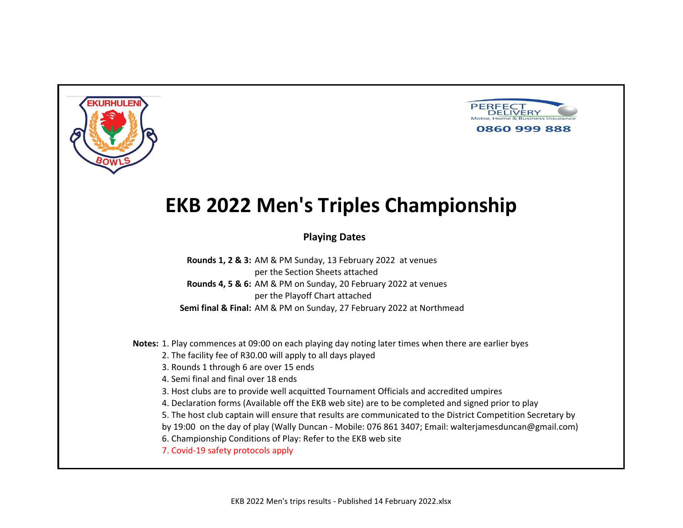



### **Playing Dates**

**Rounds 1, 2 & 3:** AM & PM Sunday, 13 February 2022 at venues per the Section Sheets attached **Rounds 4, 5 & 6:** AM & PM on Sunday, 20 February 2022 at venues per the Playoff Chart attached **Semi final & Final:** AM & PM on Sunday, 27 February 2022 at Northmead

**Notes:** 1. Play commences at 09:00 on each playing day noting later times when there are earlier byes

2. The facility fee of R30.00 will apply to all days played

3. Rounds 1 through 6 are over 15 ends

4. Semi final and final over 18 ends

3. Host clubs are to provide well acquitted Tournament Officials and accredited umpires

4. Declaration forms (Available off the EKB web site) are to be completed and signed prior to play

5. The host club captain will ensure that results are communicated to the District Competition Secretary by

by 19:00 on the day of play (Wally Duncan - Mobile: 076 861 3407; Email: walterjamesduncan@gmail.com)

6. Championship Conditions of Play: Refer to the EKB web site

7. Covid-19 safety protocols apply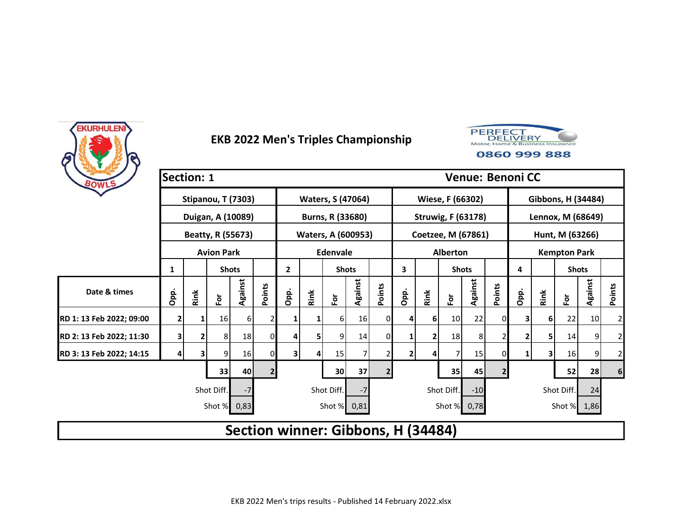



| BOWLS                    | <b>Section: 1</b> |      |                         |                 |                |                |      |                                    |         |        |                |      |                           |         |             | <b>Venue: Benoni CC</b> |      |                     |                 |                |
|--------------------------|-------------------|------|-------------------------|-----------------|----------------|----------------|------|------------------------------------|---------|--------|----------------|------|---------------------------|---------|-------------|-------------------------|------|---------------------|-----------------|----------------|
|                          |                   |      | Stipanou, T (7303)      |                 |                |                |      | <b>Waters, S (47064)</b>           |         |        |                |      | Wiese, F (66302)          |         |             |                         |      | Gibbons, H (34484)  |                 |                |
|                          |                   |      | Duigan, A (10089)       |                 |                |                |      | Burns, R (33680)                   |         |        |                |      | <b>Struwig, F (63178)</b> |         |             |                         |      | Lennox, M (68649)   |                 |                |
|                          |                   |      | Beatty, R (55673)       |                 |                |                |      | <b>Waters, A (600953)</b>          |         |        |                |      | Coetzee, M (67861)        |         |             |                         |      | Hunt, M (63266)     |                 |                |
|                          |                   |      | <b>Avion Park</b>       |                 |                |                |      | <b>Edenvale</b>                    |         |        |                |      | <b>Alberton</b>           |         |             |                         |      | <b>Kempton Park</b> |                 |                |
|                          | 1                 |      | <b>Shots</b>            |                 |                | $\mathbf{2}$   |      | <b>Shots</b>                       |         |        | 3              |      | <b>Shots</b>              |         |             | 4                       |      | <b>Shots</b>        |                 |                |
| Date & times             | Opp.              | Rink | $\overline{\mathbf{e}}$ | Against         | Points         | Opp.           | Rink | $\bf \bar{e}$                      | Against | Points | Opp.           | Rink | $\bf \bar{e}$             | Against | Points      | Opp.                    | Rink | $\bf \bar{p}$       | Against         | Points         |
| RD 1: 13 Feb 2022; 09:00 | $\mathbf{2}$      | 1    | 16                      | 61              | $\overline{2}$ | 1              |      | 61                                 | 16      | 0      | 4              | 6    | 10                        | 22      | $\mathbf 0$ | 3                       | 6    | 22                  | 10 <sup>1</sup> | $\overline{2}$ |
| RD 2: 13 Feb 2022; 11:30 | 3                 | 2    | 8                       | 18              | 01             | 4              | 5    | 9                                  | 14      | 0      | 1              | 2    | 18                        | 8       |             |                         | 5,   | 14                  | 9               | $\overline{2}$ |
| RD 3: 13 Feb 2022; 14:15 |                   |      | 9                       | 16              | 01             | 31             | 4    | 15                                 |         |        | 2              | 4    | 7                         | 15      | 0           |                         | 3    | 16                  | 9               | $\overline{c}$ |
|                          | $\overline{2}$    |      |                         | 30 <sub>1</sub> | 37             | $\overline{2}$ |      |                                    | 35      | 45     | $\overline{2}$ |      |                           | 52      | 28          | $6 \overline{6}$        |      |                     |                 |                |
|                          |                   |      | Shot Diff.              | $-7$            |                |                |      | Shot Diff.                         | $-7$    |        |                |      | Shot Diff.                | $-10$   |             |                         |      | Shot Diff.          | 24              |                |
|                          |                   |      | Shot %                  | 0,83            |                |                |      | Shot % 0,81                        |         |        |                |      | Shot %                    | 0,78    |             |                         |      | Shot % 1,86         |                 |                |
|                          |                   |      |                         |                 |                |                |      | Section winner: Gibbons, H (34484) |         |        |                |      |                           |         |             |                         |      |                     |                 |                |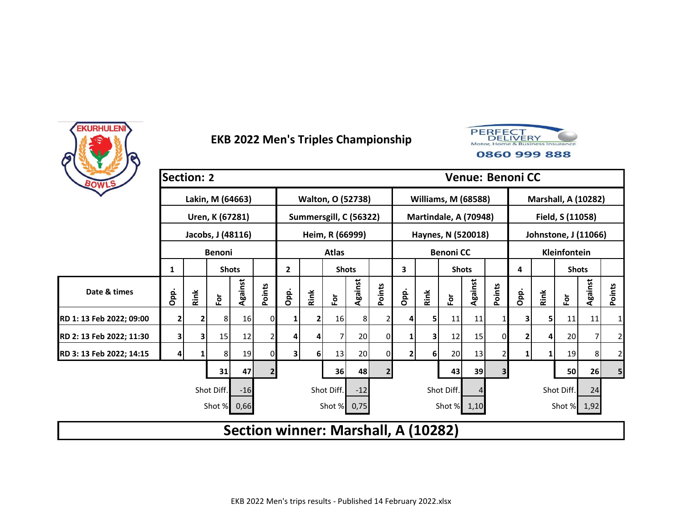



| BOWLS                    | <b>Section: 2</b> |      |                         |                  |              |                                     |                |                        |         |                |              |          |                            |         |                | <b>Venue: Benoni CC</b> |      |                            |         |                |
|--------------------------|-------------------|------|-------------------------|------------------|--------------|-------------------------------------|----------------|------------------------|---------|----------------|--------------|----------|----------------------------|---------|----------------|-------------------------|------|----------------------------|---------|----------------|
|                          |                   |      |                         | Lakin, M (64663) |              |                                     |                | Walton, O (52738)      |         |                |              |          | <b>Williams, M (68588)</b> |         |                |                         |      | <b>Marshall, A (10282)</b> |         |                |
|                          |                   |      | Uren, K (67281)         |                  |              |                                     |                | Summersgill, C (56322) |         |                |              |          | Martindale, A (70948)      |         |                |                         |      | Field, S (11058)           |         |                |
|                          |                   |      | Jacobs, J (48116)       |                  |              |                                     |                | Heim, R (66999)        |         |                |              |          | Haynes, N (520018)         |         |                |                         |      | Johnstone, J (11066)       |         |                |
|                          |                   |      | <b>Benoni</b>           |                  |              |                                     |                | <b>Atlas</b>           |         |                |              |          | <b>Benoni CC</b>           |         |                |                         |      | Kleinfontein               |         |                |
|                          | 1                 |      | <b>Shots</b>            |                  |              | $\mathbf{2}$                        |                | <b>Shots</b>           |         |                | 3            |          | <b>Shots</b>               |         |                | 4                       |      | <b>Shots</b>               |         |                |
| Date & times             | Opp.              | Rink | $\overline{\mathbf{e}}$ | Against          | Points       | Opp.                                | Rink           | $\bf \bar{e}$          | Against | Points         | Opp.         | Rink     | $\mathbf{\tilde{e}}$       | Against | Points         | Opp.                    | Rink | $\mathbf{\tilde{e}}$       | Against | Points         |
| RD 1: 13 Feb 2022; 09:00 | 2                 |      | 8                       | 16               | 01           |                                     |                | 16                     | 8       |                |              | 5        | 11                         | 11      |                |                         | 5    | 11                         | 11      | $\mathbf{1}$   |
| RD 2: 13 Feb 2022; 11:30 | 3                 | 3    | 15                      | 12               | 2            | 4                                   |                |                        | 20      | 0              |              | 3        | 12                         | 15      | $\Omega$       |                         | 4    | 20                         | 7       | $\overline{2}$ |
| RD 3: 13 Feb 2022; 14:15 | 4                 |      | 8                       | 19               | 0            | $\overline{\mathbf{3}}$             | 6 <sup>1</sup> | 13                     | 20      |                | $\mathbf{2}$ | $6 \mid$ | 20                         | 13      | 2              |                         |      | 19                         | 8       | $\mathbf{2}$   |
|                          |                   |      | 31                      | 47               | $\mathbf{2}$ |                                     |                | 36                     | 48      | $\overline{2}$ |              |          | 43                         | 39      | $\overline{3}$ |                         |      | 50                         | 26      | 5 <sub>l</sub> |
|                          |                   |      | Shot Diff.              | $-16$            |              |                                     |                | Shot Diff.             | $-12$   |                |              |          | Shot Diff.                 |         |                |                         |      | Shot Diff.                 | 24      |                |
|                          |                   |      | Shot %                  | 0,66             |              |                                     |                | Shot % 0,75            |         |                |              |          | Shot % 1,10                |         |                |                         |      | Shot % 1,92                |         |                |
|                          |                   |      |                         |                  |              | Section winner: Marshall, A (10282) |                |                        |         |                |              |          |                            |         |                |                         |      |                            |         |                |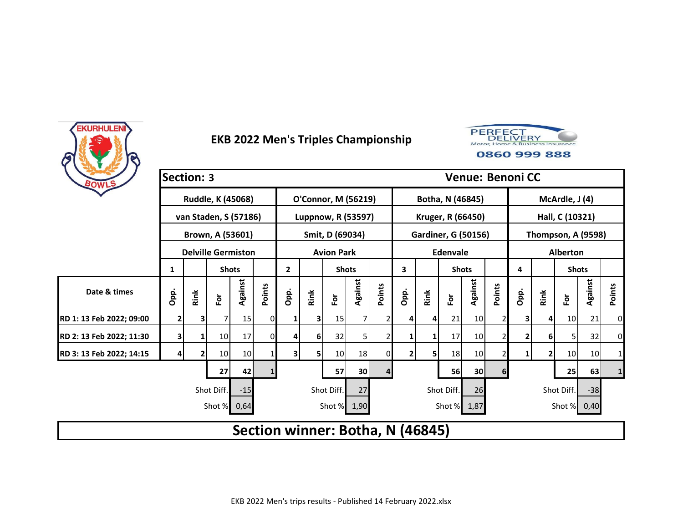



|                          | <b>Section: 3</b> |      |                           |         |        |                                  |      |                     |                 |          |                |      |                            |                 |        | <b>Venue: Benoni CC</b> |              |                 |                    |              |
|--------------------------|-------------------|------|---------------------------|---------|--------|----------------------------------|------|---------------------|-----------------|----------|----------------|------|----------------------------|-----------------|--------|-------------------------|--------------|-----------------|--------------------|--------------|
| BOWLS                    |                   |      | Ruddle, K (45068)         |         |        |                                  |      | O'Connor, M (56219) |                 |          |                |      | Botha, N (46845)           |                 |        |                         |              | McArdle, J (4)  |                    |              |
|                          |                   |      | van Staden, S (57186)     |         |        |                                  |      | Luppnow, R (53597)  |                 |          |                |      | Kruger, R (66450)          |                 |        |                         |              | Hall, C (10321) |                    |              |
|                          |                   |      | Brown, A (53601)          |         |        |                                  |      | Smit, D (69034)     |                 |          |                |      | <b>Gardiner, G (50156)</b> |                 |        |                         |              |                 | Thompson, A (9598) |              |
|                          |                   |      | <b>Delville Germiston</b> |         |        |                                  |      | <b>Avion Park</b>   |                 |          |                |      | <b>Edenvale</b>            |                 |        |                         |              | <b>Alberton</b> |                    |              |
|                          | 1                 |      | <b>Shots</b>              |         |        | $\mathbf{2}$                     |      | <b>Shots</b>        |                 |          | 3              |      | <b>Shots</b>               |                 |        | 4                       |              | <b>Shots</b>    |                    |              |
| Date & times             | Opp.              | Rink | $\tilde{\mathbf{c}}$      | Against | Points | Opp.                             | Rink | For                 | Against         | Points   | Opp.           | Rink | ۱ō                         | Against         | Points | Opp.                    | Rink         | $\bf \bar{e}$   | Against            | Points       |
| RD 1: 13 Feb 2022; 09:00 | 2                 |      | 7                         | 15      | 0      | 1                                |      | 15                  | 7               |          | 4              | 4    | 21                         | 10 <sub>l</sub> |        | 3                       | 4            | 10 <sup>1</sup> | 21                 | 0            |
| RD 2: 13 Feb 2022; 11:30 | 3                 |      | 10                        | 17      | 0      | 4                                | 6    | 32                  | 5               |          | 1              | 1    | 17                         | 10              |        | $\mathbf{2}$            | 6            | 5               | 32                 | $\mathbf 0$  |
| RD 3: 13 Feb 2022; 14:15 |                   |      | 10                        | 10      |        | 3                                | 51   | 10                  | 18              | $\Omega$ | $\overline{2}$ | 5    | 18                         | 10              |        | $\mathbf{1}$            | $\mathbf{2}$ | 10              | 10                 | $\mathbf 1$  |
|                          |                   |      | 27                        | 42      |        |                                  |      | 57                  | 30 <sup>°</sup> | 4        |                |      | 56                         | 30              | 6      |                         |              | 25              | 63                 | $\mathbf{1}$ |
|                          |                   |      | Shot Diff.                | $-15$   |        |                                  |      | Shot Diff.          | 27              |          |                |      | Shot Diff.                 | 26              |        |                         |              | Shot Diff.      | $-38$              |              |
|                          |                   |      | Shot %                    | 0,64    |        |                                  |      | Shot % 1,90         |                 |          |                |      | Shot % 1,87                |                 |        |                         |              | Shot % 0,40     |                    |              |
|                          |                   |      |                           |         |        | Section winner: Botha, N (46845) |      |                     |                 |          |                |      |                            |                 |        |                         |              |                 |                    |              |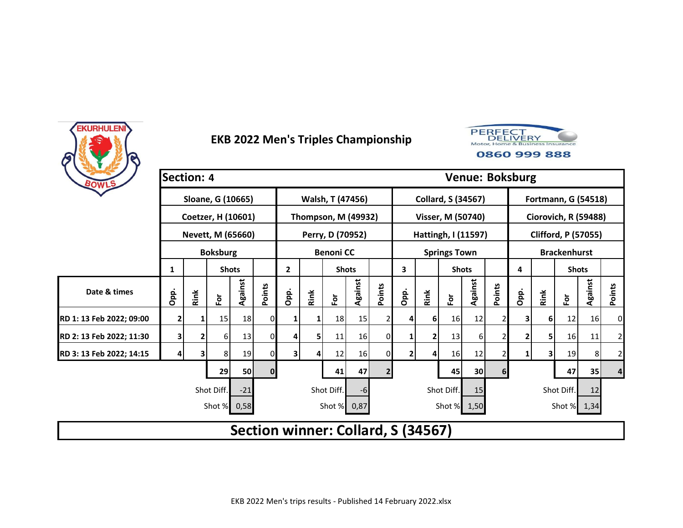



| BOWLS                    | <b>Section: 4</b> |      |                 |                    |              |                                    |      |                            |         |                |      |      |                           |         | <b>Venue: Boksburg</b> |      |                            |                     |             |              |
|--------------------------|-------------------|------|-----------------|--------------------|--------------|------------------------------------|------|----------------------------|---------|----------------|------|------|---------------------------|---------|------------------------|------|----------------------------|---------------------|-------------|--------------|
|                          |                   |      |                 | Sloane, G (10665)  |              |                                    |      | Walsh, T (47456)           |         |                |      |      | <b>Collard, S (34567)</b> |         |                        |      | <b>Fortmann, G (54518)</b> |                     |             |              |
|                          |                   |      |                 | Coetzer, H (10601) |              |                                    |      | <b>Thompson, M (49932)</b> |         |                |      |      | Visser, M (50740)         |         |                        |      | Ciorovich, R (59488)       |                     |             |              |
|                          |                   |      |                 | Nevett, M (65660)  |              |                                    |      | Perry, D (70952)           |         |                |      |      | Hattingh, I (11597)       |         |                        |      | <b>Clifford, P (57055)</b> |                     |             |              |
|                          |                   |      | <b>Boksburg</b> |                    |              |                                    |      | <b>Benoni CC</b>           |         |                |      |      | <b>Springs Town</b>       |         |                        |      |                            | <b>Brackenhurst</b> |             |              |
|                          | 1                 |      |                 | <b>Shots</b>       |              | $\mathbf{2}$                       |      | <b>Shots</b>               |         |                | 3    |      | <b>Shots</b>              |         |                        | 4    |                            | <b>Shots</b>        |             |              |
| Date & times             | Opp.              | Rink | $\bf \bar{e}$   | Against            | Points       | Opp.                               | Rink | $\bf \bar{e}$              | Against | Points         | Opp. | Rink | Èŏ                        | Against | Points                 | Opp. | Rink                       | ĔŌ                  | Against     | Points       |
| RD 1: 13 Feb 2022; 09:00 | 2                 |      | 15              | 18                 | 0            |                                    |      | 18                         | 15      |                | 4    | 6    | 16                        | 12      |                        | 31   | 6 <sup>1</sup>             | 12                  | 16          | $\mathbf{0}$ |
| RD 2: 13 Feb 2022; 11:30 | 3                 | 2    | 6               | 13                 | 01           | 4                                  | 5    | 11                         | 16      | $\overline{0}$ | 1    | 2    | 13                        | 6       |                        | 2    | 5                          | 16                  | 11          | $\mathbf{2}$ |
| RD 3: 13 Feb 2022; 14:15 | 4                 | 3    | 8               | 19                 | 0            | 3                                  | 4    | 12                         | 16      | 0l             | 2    | 4    | 16                        | 12      |                        | 1    | 3                          | 19                  | 8           | $\mathbf{2}$ |
|                          |                   |      | 29              | 50                 | $\mathbf{0}$ |                                    |      | 41                         | 47      | $\overline{2}$ |      |      | 45                        | 30      | 6 <sup>1</sup>         |      |                            | 47                  | 35          | 4            |
|                          |                   |      | Shot Diff.      | $-21$              |              |                                    |      | Shot Diff.                 | $-6$    |                |      |      | Shot Diff.                | 15      |                        |      |                            | Shot Diff.          | 12          |              |
|                          |                   |      | Shot %          | 0,58               |              |                                    |      | Shot % 0,87                |         |                |      |      | Shot % 1,50               |         |                        |      |                            |                     | Shot % 1,34 |              |
|                          |                   |      |                 |                    |              | Section winner: Collard, S (34567) |      |                            |         |                |      |      |                           |         |                        |      |                            |                     |             |              |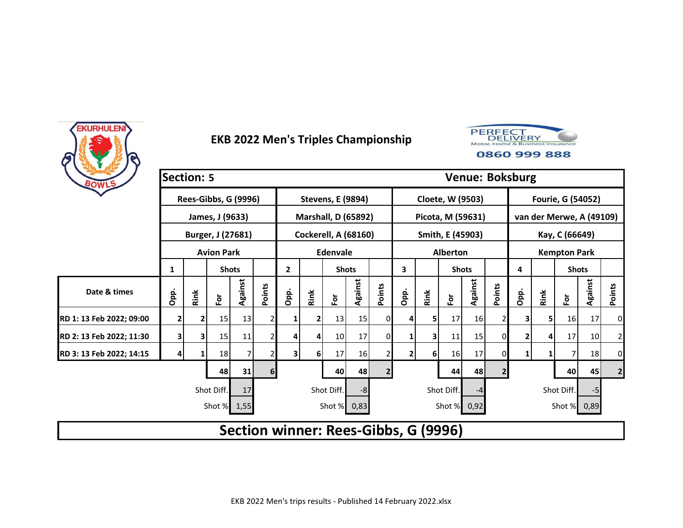



| BOWLS                    | <b>Section: 5</b> |      |                   |                      |        |                                      |                |                             |         |                |              |          |                      |         |                | <b>Venue: Boksburg</b> |      |                          |         |                |
|--------------------------|-------------------|------|-------------------|----------------------|--------|--------------------------------------|----------------|-----------------------------|---------|----------------|--------------|----------|----------------------|---------|----------------|------------------------|------|--------------------------|---------|----------------|
|                          |                   |      |                   | Rees-Gibbs, G (9996) |        |                                      |                | <b>Stevens, E (9894)</b>    |         |                |              |          | Cloete, W (9503)     |         |                |                        |      | <b>Fourie, G (54052)</b> |         |                |
|                          |                   |      | James, J (9633)   |                      |        |                                      |                | <b>Marshall, D (65892)</b>  |         |                |              |          | Picota, M (59631)    |         |                |                        |      | van der Merwe, A (49109) |         |                |
|                          |                   |      |                   | Burger, J (27681)    |        |                                      |                | <b>Cockerell, A (68160)</b> |         |                |              |          | Smith, E (45903)     |         |                |                        |      | Kay, C (66649)           |         |                |
|                          |                   |      | <b>Avion Park</b> |                      |        |                                      |                | Edenvale                    |         |                |              |          | <b>Alberton</b>      |         |                |                        |      | <b>Kempton Park</b>      |         |                |
|                          | 1                 |      | <b>Shots</b>      |                      |        | $\mathbf{2}$                         |                | <b>Shots</b>                |         |                | 3            |          | <b>Shots</b>         |         |                | 4                      |      | <b>Shots</b>             |         |                |
| Date & times             | Opp.              | Rink | For               | Against              | Points | Opp.                                 | Rink           | For                         | Against | Points         | Opp.         | Rink     | $\mathbf{\tilde{e}}$ | Against | Points         | Opp.                   | Rink | $\mathbf{\tilde{e}}$     | Against | Points         |
| RD 1: 13 Feb 2022; 09:00 | 2                 |      | 15                | 13                   | 2      |                                      |                | 13                          | 15      | 0              |              | 5        | 17                   | 16      |                |                        | 5    | 16                       | 17      | $\overline{0}$ |
| RD 2: 13 Feb 2022; 11:30 | 3                 | 3    | 15                | 11                   | 2      | 4                                    | 4              | 10                          | 17      | 0              |              | 3        | 11                   | 15      | $\overline{0}$ |                        | 4    | 17                       | 10      | $\overline{2}$ |
| RD 3: 13 Feb 2022; 14:15 | 4                 |      | 18                | 7                    |        | 3                                    | 6 <sup>1</sup> | 17                          | 16      |                | $\mathbf{2}$ | $6 \mid$ | 16                   | 17      | 0              |                        |      | 7                        | 18      | $\overline{0}$ |
|                          | 31<br>48          |      |                   |                      |        |                                      |                |                             |         | $\overline{2}$ |              |          | 44                   | 48      | $\overline{2}$ |                        |      | 40                       | 45      | $\mathbf{2}$   |
|                          |                   |      | Shot Diff.        | 17                   |        |                                      |                | Shot Diff.                  | -8      |                |              |          | Shot Diff.           | -4      |                |                        |      | Shot Diff.               | $-5$    |                |
|                          |                   |      |                   | Shot % 1,55          |        |                                      |                | Shot % 0,83                 |         |                |              |          | Shot % 0,92          |         |                |                        |      | Shot % 0,89              |         |                |
|                          |                   |      |                   |                      |        | Section winner: Rees-Gibbs, G (9996) |                |                             |         |                |              |          |                      |         |                |                        |      |                          |         |                |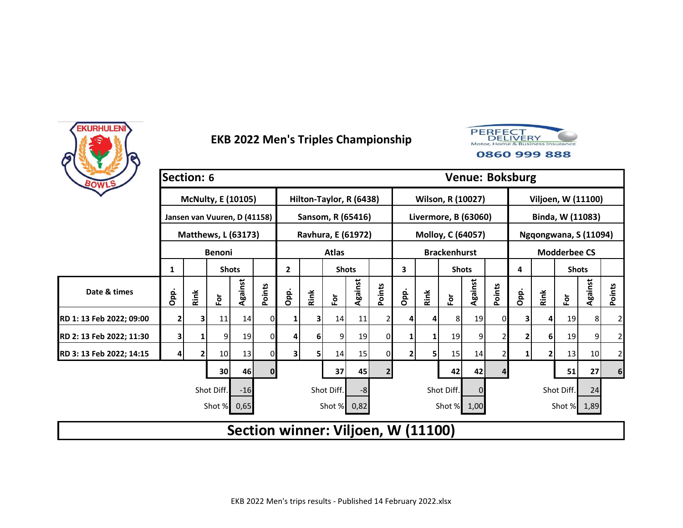



| BOWLS                    | <b>Section: 6</b> |      |                              |         |        |                                    |              |                           |         |                |              |      |                        |          | <b>Venue: Boksburg</b> |              |      |                     |                       |                  |
|--------------------------|-------------------|------|------------------------------|---------|--------|------------------------------------|--------------|---------------------------|---------|----------------|--------------|------|------------------------|----------|------------------------|--------------|------|---------------------|-----------------------|------------------|
|                          |                   |      | <b>McNulty, E (10105)</b>    |         |        |                                    |              | Hilton-Taylor, R (6438)   |         |                |              |      | Wilson, R (10027)      |          |                        |              |      |                     | Viljoen, W (11100)    |                  |
|                          |                   |      | Jansen van Vuuren, D (41158) |         |        |                                    |              | Sansom, R (65416)         |         |                |              |      | Livermore, B (63060)   |          |                        |              |      |                     | Binda, W (11083)      |                  |
|                          |                   |      | <b>Matthews, L (63173)</b>   |         |        |                                    |              | <b>Ravhura, E (61972)</b> |         |                |              |      | Molloy, C (64057)      |          |                        |              |      |                     | Ngqongwana, S (11094) |                  |
|                          |                   |      | <b>Benoni</b>                |         |        |                                    |              | <b>Atlas</b>              |         |                |              |      | <b>Brackenhurst</b>    |          |                        |              |      | <b>Modderbee CS</b> |                       |                  |
|                          | 1                 |      | <b>Shots</b>                 |         |        | $\mathbf{2}$                       |              | <b>Shots</b>              |         |                | 3            |      | <b>Shots</b>           |          |                        | 4            |      | <b>Shots</b>        |                       |                  |
| Date & times             | Opp.              | Rink | $\tilde{\mathbf{c}}$         | Against | Points | Opp.                               | Rink         | For                       | Against | Points         | Opp.         | Rink | $\overline{\tilde{c}}$ | Against  | Points                 | Opp.         | Rink | $\bf \bar{e}$       | Against               | Points           |
| RD 1: 13 Feb 2022; 09:00 | $\overline{2}$    | 3    | 11                           | 14      | 0      | 1                                  | $\mathbf{3}$ | 14                        | 11      | 2              | 4            | 4    | 81                     | 19       | 0                      | 31           | 4    | 19                  | 8                     | $\overline{2}$   |
| RD 2: 13 Feb 2022; 11:30 | $\mathbf{3}$      |      | 9                            | 19      | 0      | 4                                  | 6            | 9                         | 19      | $\Omega$       | 1            | 1    | 19                     | 9        |                        | 2            | 6    | 19                  | 9                     | $\overline{2}$   |
| RD 3: 13 Feb 2022; 14:15 | 4                 |      | 10                           | 13      | 0      | 3                                  | 51           | 14                        | 15      | 01             | $\mathbf{2}$ | 5    | 15                     | 14       |                        | $\mathbf{1}$ | 2    | 13                  | 10                    | $\overline{2}$   |
|                          |                   |      | 30                           | 46      | 0      |                                    |              | 37                        | 45      | $\overline{2}$ |              |      | 42                     | 42       |                        |              |      | 51                  | 27                    | $\boldsymbol{6}$ |
|                          |                   |      | Shot Diff.                   | $-16$   |        |                                    |              | Shot Diff.                | -8      |                |              |      | Shot Diff.             | $\Omega$ |                        |              |      | Shot Diff.          | 24                    |                  |
|                          |                   |      | Shot %                       | 0,65    |        |                                    |              | Shot % 0,82               |         |                |              |      | Shot % 1,00            |          |                        |              |      | Shot % 1,89         |                       |                  |
|                          |                   |      |                              |         |        | Section winner: Viljoen, W (11100) |              |                           |         |                |              |      |                        |          |                        |              |      |                     |                       |                  |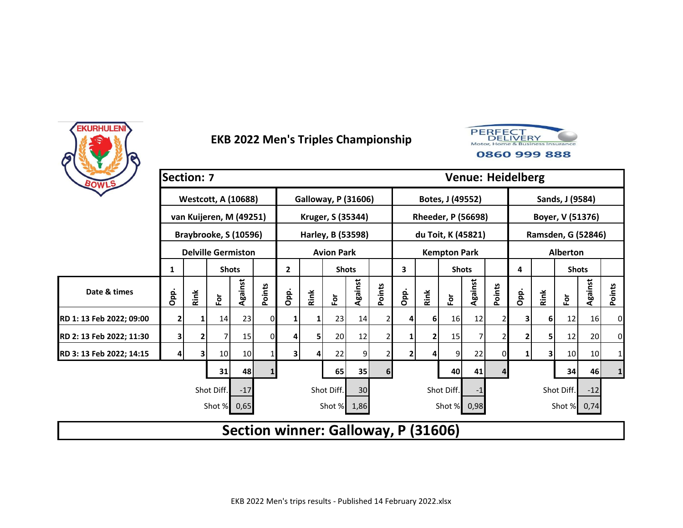



|                          | <b>Section: 7</b> |      |                            |         |        |                |      |                                     |         |        |                |      |                           |         |        | <b>Venue: Heidelberg</b> |      |                    |                 |              |
|--------------------------|-------------------|------|----------------------------|---------|--------|----------------|------|-------------------------------------|---------|--------|----------------|------|---------------------------|---------|--------|--------------------------|------|--------------------|-----------------|--------------|
| BOWLS                    |                   |      | <b>Westcott, A (10688)</b> |         |        |                |      | <b>Galloway, P (31606)</b>          |         |        |                |      | Botes, J (49552)          |         |        |                          |      | Sands, J (9584)    |                 |              |
|                          |                   |      | van Kuijeren, M (49251)    |         |        |                |      | Kruger, S (35344)                   |         |        |                |      | <b>Rheeder, P (56698)</b> |         |        |                          |      | Boyer, V (51376)   |                 |              |
|                          |                   |      | Braybrooke, S (10596)      |         |        |                |      | Harley, B (53598)                   |         |        |                |      | du Toit, K (45821)        |         |        |                          |      | Ramsden, G (52846) |                 |              |
|                          |                   |      | <b>Delville Germiston</b>  |         |        |                |      | <b>Avion Park</b>                   |         |        |                |      | <b>Kempton Park</b>       |         |        |                          |      | <b>Alberton</b>    |                 |              |
|                          | 1                 |      | <b>Shots</b>               |         |        | $\mathbf{2}$   |      | <b>Shots</b>                        |         |        | 3              |      | <b>Shots</b>              |         |        | 4                        |      | <b>Shots</b>       |                 |              |
| Date & times             | Opp.              | Rink | ۱ō                         | Against | Points | Opp.           | Rink | For                                 | Against | Points | Opp.           | Rink | ۱ō                        | Against | Points | Opp.                     | Rink | $\bf \bar{p}$      | Against         | Points       |
| RD 1: 13 Feb 2022; 09:00 | 2                 |      | 14                         | 23      | 0      |                |      | 23                                  | 14      | 2      | 4              | 6    | 16 <sup>l</sup>           | 12      |        | 3                        | 6    | 12                 | 16 <sup>1</sup> | 0            |
| RD 2: 13 Feb 2022; 11:30 | 3                 |      |                            | 15      | 0      | 4              | 5    | 20                                  | 12      | 2      | 1              | 2    | 15                        |         |        | 2                        | 5    | 12                 | 20              | 0            |
| RD 3: 13 Feb 2022; 14:15 |                   |      | 10                         | 10      |        | 3              |      | 22                                  | 9       |        | $\overline{2}$ | 4    | 9                         | 22      |        |                          | 3    | 10                 | 10              | $\mathbf{1}$ |
|                          |                   |      |                            | 65      | 35     | 6 <sup>1</sup> |      |                                     | 40      | 41     |                |      |                           | 34      | 46     | 1                        |      |                    |                 |              |
|                          |                   |      | Shot Diff.                 | $-17$   |        |                |      | Shot Diff.                          | 30      |        |                |      | Shot Diff.                | -1      |        |                          |      | Shot Diff.         | $-12$           |              |
|                          |                   |      | Shot %                     | 0,65    |        |                |      | Shot % 1,86                         |         |        |                |      | Shot % 0,98               |         |        |                          |      | Shot % 0,74        |                 |              |
|                          |                   |      |                            |         |        |                |      | Section winner: Galloway, P (31606) |         |        |                |      |                           |         |        |                          |      |                    |                 |              |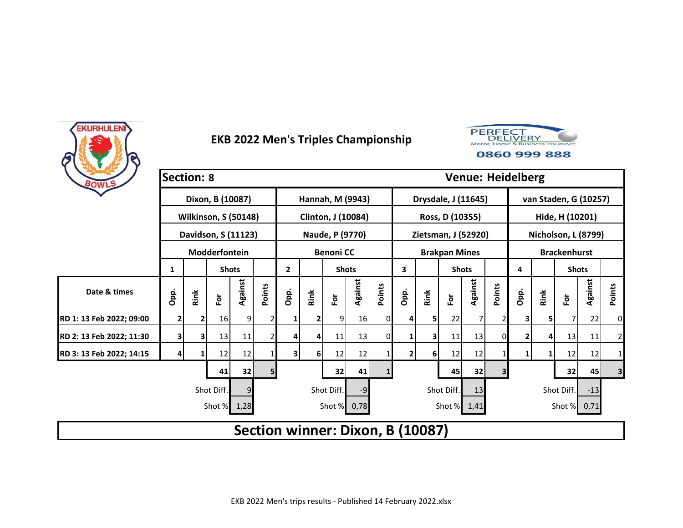



| BOWLS                    | <b>Section: 8</b>                   |      |                             |         |        |                                  |      |                    |         |        |                |                |                      | <b>Venue: Heidelberg</b> |                         |              |      |                       |         |              |
|--------------------------|-------------------------------------|------|-----------------------------|---------|--------|----------------------------------|------|--------------------|---------|--------|----------------|----------------|----------------------|--------------------------|-------------------------|--------------|------|-----------------------|---------|--------------|
|                          |                                     |      | Dixon, B (10087)            |         |        |                                  |      | Hannah, M (9943)   |         |        |                |                | Drysdale, J (11645)  |                          |                         |              |      | van Staden, G (10257) |         |              |
|                          |                                     |      | <b>Wilkinson, S (50148)</b> |         |        |                                  |      | Clinton, J (10084) |         |        |                |                | Ross, D (10355)      |                          |                         |              |      | Hide, H (10201)       |         |              |
|                          |                                     |      | Davidson, S (11123)         |         |        |                                  |      | Naude, P (9770)    |         |        |                |                | Zietsman, J (52920)  |                          |                         |              |      | Nicholson, L (8799)   |         |              |
|                          |                                     |      | Modderfontein               |         |        |                                  |      | <b>Benoni CC</b>   |         |        |                |                | <b>Brakpan Mines</b> |                          |                         |              |      | <b>Brackenhurst</b>   |         |              |
|                          | 1                                   |      | <b>Shots</b>                |         |        | $\overline{2}$                   |      | <b>Shots</b>       |         |        | 3              |                | <b>Shots</b>         |                          |                         | 4            |      | <b>Shots</b>          |         |              |
| Date & times             | Opp.                                | Rink | έŏ                          | Against | Points | Opp.                             | Rink | For                | Against | Points | Opp.           | Rink           | Ĕŏ                   | Against                  | Points                  | Opp.         | Rink | $\bf \bar{e}$         | Against | Points       |
| RD 1: 13 Feb 2022; 09:00 | 2                                   |      | 16                          | 9       |        |                                  |      | 91                 | 16      | ΩI     | $\overline{4}$ | 51             | 22                   |                          |                         | 31           | 51   |                       | 22      | 0            |
| RD 2: 13 Feb 2022; 11:30 | 3                                   | 3    | 13                          | 11      |        | 4                                |      | 11                 | 13      | 0      | 1              | 3              | 11                   | 13                       | $\Omega$                | 2            | 4    | 13                    | 11      | $\mathbf{2}$ |
| RD 3: 13 Feb 2022; 14:15 |                                     |      | 12                          | 12      |        | $\mathbf{3}$                     | 61   | 12                 | 12      |        | $\overline{2}$ | 6 <sup>1</sup> | 12                   | 12                       |                         | $\mathbf{1}$ | 1    | 12                    | 12      | 1            |
|                          |                                     |      | 41                          | 32      | 5      |                                  |      | 32                 | 41      |        |                |                | 45                   | 32                       | $\overline{\mathbf{3}}$ |              |      | 32                    | 45      | 3            |
|                          | Shot Diff.<br>Shot Diff.<br>9<br>-9 |      |                             |         |        |                                  |      |                    |         |        |                |                |                      | 13                       |                         |              |      | Shot Diff.            | $-13$   |              |
|                          |                                     |      | Shot % 1,28                 |         |        |                                  |      | Shot % 0,78        |         |        |                |                | Shot % 1,41          |                          |                         |              |      | Shot % 0,71           |         |              |
|                          |                                     |      |                             |         |        | Section winner: Dixon, B (10087) |      |                    |         |        |                |                |                      |                          |                         |              |      |                       |         |              |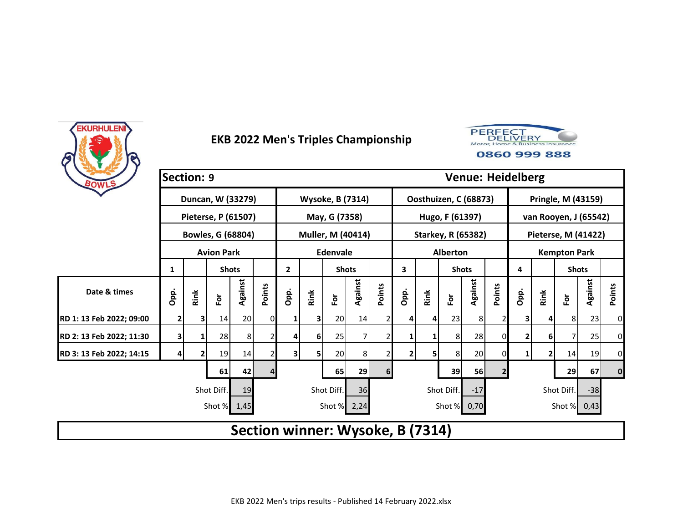



|                          | <b>Section: 9</b> |      |                         |         |        |                                  |      |                         |         |                |                |      |                 | <b>Venue: Heidelberg</b>  |                |      |      |                       |         |             |
|--------------------------|-------------------|------|-------------------------|---------|--------|----------------------------------|------|-------------------------|---------|----------------|----------------|------|-----------------|---------------------------|----------------|------|------|-----------------------|---------|-------------|
| BOWLS                    |                   |      |                         |         |        |                                  |      |                         |         |                |                |      |                 |                           |                |      |      |                       |         |             |
|                          |                   |      | Duncan, W (33279)       |         |        |                                  |      | <b>Wysoke, B (7314)</b> |         |                |                |      |                 | Oosthuizen, C (68873)     |                |      |      | Pringle, M (43159)    |         |             |
|                          |                   |      | Pieterse, P (61507)     |         |        |                                  |      | May, G (7358)           |         |                |                |      | Hugo, F (61397) |                           |                |      |      | van Rooyen, J (65542) |         |             |
|                          |                   |      | Bowles, G (68804)       |         |        |                                  |      | Muller, M (40414)       |         |                |                |      |                 | <b>Starkey, R (65382)</b> |                |      |      | Pieterse, M (41422)   |         |             |
|                          |                   |      | <b>Avion Park</b>       |         |        |                                  |      | Edenvale                |         |                |                |      | <b>Alberton</b> |                           |                |      |      | <b>Kempton Park</b>   |         |             |
|                          | 1                 |      | <b>Shots</b>            |         |        | $\mathbf{2}$                     |      | <b>Shots</b>            |         |                | 3              |      | <b>Shots</b>    |                           |                | 4    |      | <b>Shots</b>          |         |             |
| Date & times             | Opp.              | Rink | $\overline{\mathbf{e}}$ | Against | Points | Opp.                             | Rink | For                     | Against | Points         | Opp.           | Rink | Ē٥              | Against                   | Points         | Opp. | Rink | $\bf \bar{e}$         | Against | Points      |
| RD 1: 13 Feb 2022; 09:00 | $\overline{2}$    | 3.   | 14                      | 20      | 0      | 1                                |      | 20                      | 14      | 21             | 4              | 4    | 23              | 8 <sup>1</sup>            |                | 3    | 4    | 8                     | 23      | 0           |
| RD 2: 13 Feb 2022; 11:30 | 3                 |      | 28                      | 8       |        | 4                                | 6    | 25                      | 7       |                | 1              |      | 8               | 28                        | 0              | 2    | 6    | 7                     | 25      | $\mathbf 0$ |
| RD 3: 13 Feb 2022; 14:15 |                   |      | 19                      | 14      | 2      | 3                                | 51   | 20                      | 8       |                | $\overline{2}$ | 5    | 8               | 20                        |                | 1    | 2    | 14                    | 19      | 0           |
|                          |                   |      | 61                      | 42      | 4      |                                  |      | 65                      | 29      | 6 <sup>1</sup> |                |      | 39              | 56                        | $\overline{2}$ |      |      | 29                    | 67      | $\mathbf 0$ |
|                          |                   |      | Shot Diff.              | 19      |        |                                  |      | Shot Diff.              | 36      |                |                |      | Shot Diff.      | $-17$                     |                |      |      | Shot Diff.            | $-38$   |             |
|                          |                   |      | Shot % 1,45             |         |        |                                  |      | Shot % 2,24             |         |                |                |      |                 | Shot % 0,70               |                |      |      | Shot % 0,43           |         |             |
|                          |                   |      |                         |         |        | Section winner: Wysoke, B (7314) |      |                         |         |                |                |      |                 |                           |                |      |      |                       |         |             |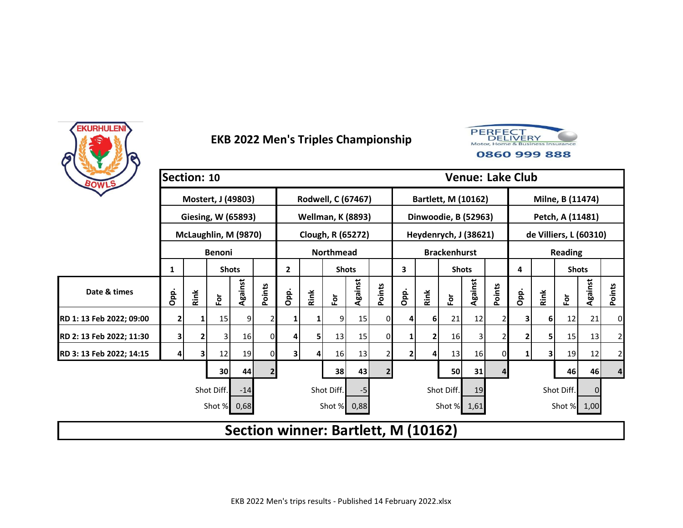



|                          | Section: 10 |      |                      |         |        |                                     |      |                          |         |        |                |      |                       |         |        | <b>Venue: Lake Club</b> |                        |                  |          |                |
|--------------------------|-------------|------|----------------------|---------|--------|-------------------------------------|------|--------------------------|---------|--------|----------------|------|-----------------------|---------|--------|-------------------------|------------------------|------------------|----------|----------------|
| BOWLS                    |             |      | Mostert, J (49803)   |         |        |                                     |      | Rodwell, C (67467)       |         |        |                |      | Bartlett, M (10162)   |         |        |                         |                        | Milne, B (11474) |          |                |
|                          |             |      |                      |         |        |                                     |      |                          |         |        |                |      |                       |         |        |                         |                        |                  |          |                |
|                          |             |      | Giesing, W (65893)   |         |        |                                     |      | <b>Wellman, K (8893)</b> |         |        |                |      | Dinwoodie, B (52963)  |         |        |                         |                        | Petch, A (11481) |          |                |
|                          |             |      | McLaughlin, M (9870) |         |        |                                     |      | Clough, R (65272)        |         |        |                |      | Heydenrych, J (38621) |         |        |                         | de Villiers, L (60310) |                  |          |                |
|                          |             |      | <b>Benoni</b>        |         |        |                                     |      | <b>Northmead</b>         |         |        |                |      | <b>Brackenhurst</b>   |         |        |                         |                        | <b>Reading</b>   |          |                |
|                          | 1           |      | <b>Shots</b>         |         |        | $\mathbf{2}$                        |      | <b>Shots</b>             |         |        | 3              |      | <b>Shots</b>          |         |        | 4                       |                        | <b>Shots</b>     |          |                |
| Date & times             | Opp.        | Rink | $\bf \bar{p}$        | Against | Points | Opp.                                | Rink | For                      | Against | Points | Opp.           | Rink | ۱ō                    | Against | Points | Opp.                    | Rink                   | $\bf \bar{p}$    | Against  | Points         |
| RD 1: 13 Feb 2022; 09:00 | 2           |      | 15                   | 9.      |        |                                     |      | 91                       | 15      | 01     | 4              | 6    | 21                    | 12      |        | 3                       | 6                      | 12               | 21       | 0              |
| RD 2: 13 Feb 2022; 11:30 | 3           |      | 3                    | 16      | 0      | 4                                   | 51   | 13                       | 15      | 0      | 1              | 2    | 16 <sup>1</sup>       | 3       |        | 2                       | 5                      | 15               | 13       | $\mathbf{2}$   |
| RD 3: 13 Feb 2022; 14:15 |             |      | 12                   | 19      | 0      | 3                                   |      | 16                       | 13      |        | $\overline{2}$ | 4    | 13                    | 16      |        | 1                       | 3                      | 19               | 12       | $\overline{a}$ |
|                          | 30<br>44    |      |                      |         |        |                                     |      |                          |         |        |                |      | 50                    | 31      |        |                         |                        | 46               | 46       | 4              |
|                          |             |      | Shot Diff.           | $-14$   |        |                                     |      | Shot Diff.               | -5      |        |                |      | Shot Diff.            | 19      |        |                         |                        | Shot Diff.       | $\Omega$ |                |
|                          |             |      | Shot %               | 0,68    |        |                                     |      | Shot % 0,88              |         |        |                |      | Shot % 1,61           |         |        |                         |                        | Shot % 1,00      |          |                |
|                          |             |      |                      |         |        | Section winner: Bartlett, M (10162) |      |                          |         |        |                |      |                       |         |        |                         |                        |                  |          |                |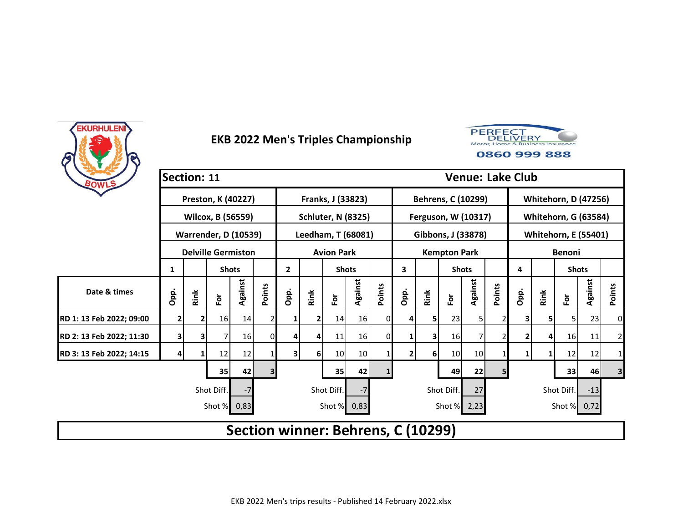



| BOWLS                    | Section: 11    |      |                             |         |        |                                    |      |                           |         |          |                |                |                     | <b>Venue: Lake Club</b> |        |      |      |                             |         |              |
|--------------------------|----------------|------|-----------------------------|---------|--------|------------------------------------|------|---------------------------|---------|----------|----------------|----------------|---------------------|-------------------------|--------|------|------|-----------------------------|---------|--------------|
|                          |                |      | Preston, K (40227)          |         |        |                                    |      | Franks, J (33823)         |         |          |                |                | Behrens, C (10299)  |                         |        |      |      | <b>Whitehorn, D (47256)</b> |         |              |
|                          |                |      | Wilcox, B (56559)           |         |        |                                    |      | <b>Schluter, N (8325)</b> |         |          |                |                | Ferguson, W (10317) |                         |        |      |      | <b>Whitehorn, G (63584)</b> |         |              |
|                          |                |      | <b>Warrender, D (10539)</b> |         |        |                                    |      | Leedham, T (68081)        |         |          |                |                | Gibbons, J (33878)  |                         |        |      |      | <b>Whitehorn, E (55401)</b> |         |              |
|                          |                |      | <b>Delville Germiston</b>   |         |        |                                    |      | <b>Avion Park</b>         |         |          |                |                | <b>Kempton Park</b> |                         |        |      |      | <b>Benoni</b>               |         |              |
|                          | 1              |      | <b>Shots</b>                |         |        | $\mathbf{2}$                       |      | <b>Shots</b>              |         |          | 3              |                | <b>Shots</b>        |                         |        | 4    |      | <b>Shots</b>                |         |              |
| Date & times             | Opp.           | Rink | έŏ                          | Against | Points | Opp.                               | Rink | For                       | Against | Points   | Opp.           | Rink           | Ĕŏ                  | Against                 | Points | Opp. | Rink | $\bf \bar{e}$               | Against | Points       |
| RD 1: 13 Feb 2022; 09:00 | 2              |      | 16                          | 14      |        |                                    |      | 14                        | 16      | 01       | $\overline{4}$ | 51             | 23                  | 51                      |        | 31   | 5    | 5                           | 23      | 0            |
| RD 2: 13 Feb 2022; 11:30 | 3              | 3    |                             | 16      | 0      | 4                                  |      | 11                        | 16      | $\Omega$ | 1              | 3              | 16 <sup>1</sup>     |                         |        | 2    | 4    | 16                          | 11      | $\mathbf{2}$ |
| RD 3: 13 Feb 2022; 14:15 |                |      | 12                          | 12      |        | $\overline{\mathbf{3}}$            | 61   | 10                        | 10      |          | $\overline{2}$ | 6 <sup>1</sup> | 10                  | 10                      |        | 1    | 1    | 12                          | 12      | 1            |
|                          | 3 <sup>1</sup> |      |                             | 35      | 42     |                                    |      |                           | 49      | 22       | 5              |                |                     | 33                      | 46     | 3    |      |                             |         |              |
|                          |                |      | Shot Diff.                  | $-7$    |        |                                    |      | Shot Diff.                | $-7$    |          |                |                | Shot Diff.          | 27                      |        |      |      | Shot Diff.                  | $-13$   |              |
|                          |                |      | Shot %                      | 0,83    |        |                                    |      | Shot % 0,83               |         |          |                |                | Shot % 2,23         |                         |        |      |      | Shot % 0,72                 |         |              |
|                          |                |      |                             |         |        | Section winner: Behrens, C (10299) |      |                           |         |          |                |                |                     |                         |        |      |      |                             |         |              |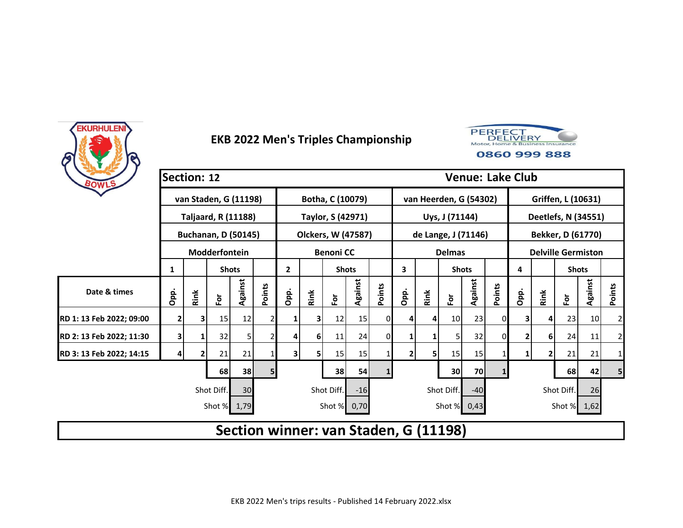



| BOWLS                    | Section: 12    |      |                            |         |        |                                       |      |                    |         |        |              |      |                        | <b>Venue: Lake Club</b> |        |              |              |                           |         |                |
|--------------------------|----------------|------|----------------------------|---------|--------|---------------------------------------|------|--------------------|---------|--------|--------------|------|------------------------|-------------------------|--------|--------------|--------------|---------------------------|---------|----------------|
|                          |                |      | van Staden, G (11198)      |         |        |                                       |      | Botha, C (10079)   |         |        |              |      | van Heerden, G (54302) |                         |        |              |              | Griffen, L (10631)        |         |                |
|                          |                |      | <b>Taljaard, R (11188)</b> |         |        |                                       |      | Taylor, S (42971)  |         |        |              |      | Uys, J (71144)         |                         |        |              |              | Deetlefs, N (34551)       |         |                |
|                          |                |      | <b>Buchanan, D (50145)</b> |         |        |                                       |      | Olckers, W (47587) |         |        |              |      | de Lange, J (71146)    |                         |        |              |              | Bekker, D (61770)         |         |                |
|                          |                |      | Modderfontein              |         |        |                                       |      | <b>Benoni CC</b>   |         |        |              |      | <b>Delmas</b>          |                         |        |              |              | <b>Delville Germiston</b> |         |                |
|                          | 1              |      | <b>Shots</b>               |         |        | $\mathbf{2}$                          |      | <b>Shots</b>       |         |        | 3            |      | <b>Shots</b>           |                         |        | 4            |              | <b>Shots</b>              |         |                |
| Date & times             | Opp.           | Rink | $\bf \bar{e}$              | Against | Points | Opp.                                  | Rink | For                | Against | Points | Opp.         | Rink | έŏ                     | Against                 | Points | Opp.         | Rink         | $\bf \bar{e}$             | Against | Points         |
| RD 1: 13 Feb 2022; 09:00 | $\overline{2}$ | 3.   | 15                         | 12      |        |                                       |      | 12                 | 15      | ΩI     | 4            | 4    | 10                     | 23                      |        | 3            | 4            | 23                        | 10      | $\overline{2}$ |
| RD 2: 13 Feb 2022; 11:30 | 3              |      | 32                         | 5       |        | 4                                     | 6    | 11                 | 24      | 0      | 1            | 1    | 5                      | 32                      | 0      | 2            | 6            | 24                        | 11      | $\mathbf{2}$   |
| RD 3: 13 Feb 2022; 14:15 | 4              |      | 21                         | 21      |        | 3                                     | 51   | 15                 | 15      |        | $\mathbf{2}$ | 5    | 15                     | 15                      |        | $\mathbf{1}$ | $\mathbf{2}$ | 21                        | 21      | $\mathbf{1}$   |
|                          |                |      | 68                         | 38      | 5      |                                       |      | 38                 | 54      |        |              |      | 30                     | 70                      |        |              |              | 68                        | 42      | 5              |
|                          |                |      | Shot Diff.                 | 30      |        |                                       |      | Shot Diff.         | $-16$   |        |              |      | Shot Diff.             | $-40$                   |        |              |              | Shot Diff.                | 26      |                |
|                          |                |      | Shot % 1,79                |         |        |                                       |      | Shot % 0,70        |         |        |              |      | Shot % 0,43            |                         |        |              |              | Shot % 1,62               |         |                |
|                          |                |      |                            |         |        | Section winner: van Staden, G (11198) |      |                    |         |        |              |      |                        |                         |        |              |              |                           |         |                |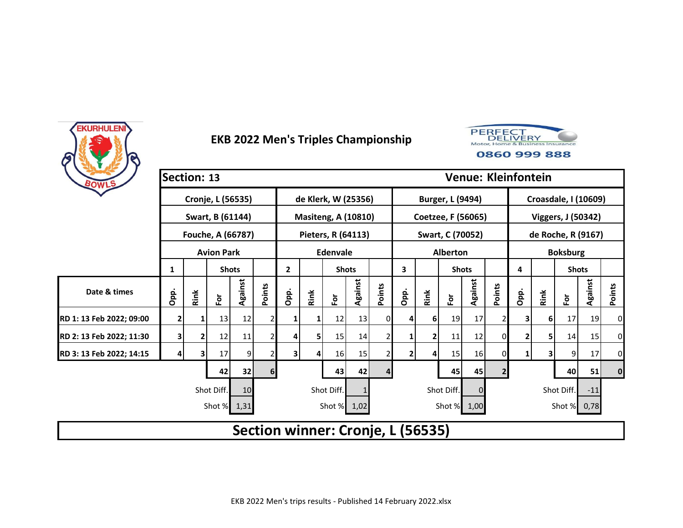



| BOWLS                    | Section: 13      |      |                   |         |                |                |                |                                   |              |        | <b>Venue: Kleinfontein</b> |                        |                         |         |                |                             |                    |                 |         |          |  |
|--------------------------|------------------|------|-------------------|---------|----------------|----------------|----------------|-----------------------------------|--------------|--------|----------------------------|------------------------|-------------------------|---------|----------------|-----------------------------|--------------------|-----------------|---------|----------|--|
|                          |                  |      | Cronje, L (56535) |         |                |                |                | de Klerk, W (25356)               |              |        |                            |                        | Burger, L (9494)        |         |                | <b>Croasdale, I (10609)</b> |                    |                 |         |          |  |
|                          |                  |      | Swart, B (61144)  |         |                |                |                | <b>Masiteng, A (10810)</b>        |              |        |                            |                        | Coetzee, F (56065)      |         |                | Viggers, J (50342)          |                    |                 |         |          |  |
|                          |                  |      | Fouche, A (66787) |         |                |                |                | Pieters, R (64113)                |              |        |                            |                        | Swart, C (70052)        |         |                |                             | de Roche, R (9167) |                 |         |          |  |
|                          |                  |      | <b>Avion Park</b> |         |                |                |                | <b>Edenvale</b>                   |              |        |                            |                        | Alberton                |         |                |                             |                    | <b>Boksburg</b> |         |          |  |
|                          | 1                |      | <b>Shots</b>      |         |                | $\overline{2}$ |                |                                   | <b>Shots</b> |        | 3                          |                        | <b>Shots</b>            |         |                | 4                           |                    | <b>Shots</b>    |         |          |  |
| Date & times             | Opp.             | Rink | For               | Against | Points         | Opp.           | Rink           | $\bf \bar{e}$                     | Against      | Points | Opp.                       | Rink                   | $\overline{\mathbf{e}}$ | Against | Points         | Opp.                        | Rink               | $\bf \bar{e}$   | Against | Points   |  |
| RD 1: 13 Feb 2022; 09:00 | 2                |      | 13                | 12      |                |                |                | 12                                | 13           | 01     | 4                          | 6 I                    | 19                      | 17      |                | 3                           | 6                  | 17              | 19      | 0        |  |
| RD 2: 13 Feb 2022; 11:30 | 3                | 2    | 12                | 11      |                | 4              | 5 <sub>1</sub> | 15                                | 14           |        | 1                          | 2                      | 11                      | 12      | 0              | 2                           | 5.                 | 14              | 15      | 0        |  |
| RD 3: 13 Feb 2022; 14:15 |                  |      | 17                | 9       |                | 3              |                | 16                                | 15           |        | $\overline{2}$             | 4                      | 15                      | 16      | 0              | 1                           | 3                  | 9               | 17      | 0        |  |
|                          |                  |      | 42                | 32      | 6 <sup>1</sup> |                |                | 43                                | 42           | 4      |                            |                        | 45                      | 45      | $\overline{2}$ |                             |                    | 40              | 51      | $\bf{0}$ |  |
|                          | Shot Diff.<br>10 |      |                   |         |                |                | Shot Diff.     |                                   |              |        |                            | Shot Diff.<br>$\Omega$ |                         |         |                |                             |                    | Shot Diff.      | $-11$   |          |  |
|                          |                  |      | Shot % 1,31       |         |                |                |                | Shot % 1,02                       |              |        |                            |                        | Shot % 1,00             |         |                |                             |                    | Shot % 0,78     |         |          |  |
|                          |                  |      |                   |         |                |                |                | Section winner: Cronje, L (56535) |              |        |                            |                        |                         |         |                |                             |                    |                 |         |          |  |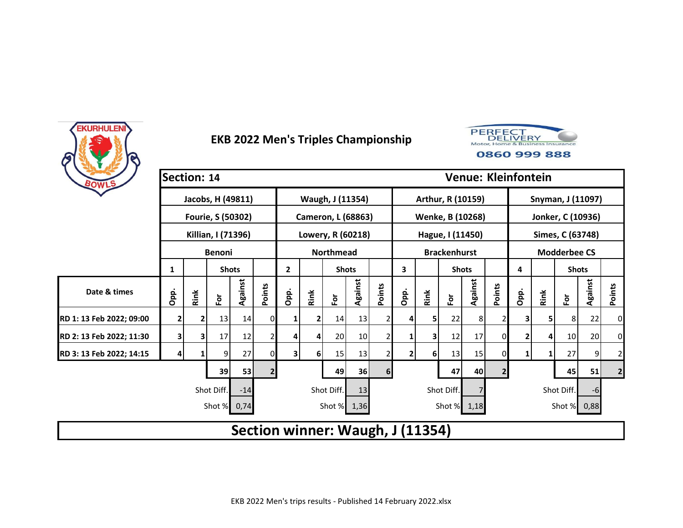



| BOWLS                    | Section: 14  |      |                    |         |                |                                  |      |                           |         |                |                   |          |                     |         | <b>Venue: Kleinfontein</b> |                   |            |                     |         |                |  |
|--------------------------|--------------|------|--------------------|---------|----------------|----------------------------------|------|---------------------------|---------|----------------|-------------------|----------|---------------------|---------|----------------------------|-------------------|------------|---------------------|---------|----------------|--|
|                          |              |      | Jacobs, H (49811)  |         |                |                                  |      | Waugh, J (11354)          |         |                |                   |          | Arthur, R (10159)   |         |                            | Snyman, J (11097) |            |                     |         |                |  |
|                          |              |      | Fourie, S (50302)  |         |                |                                  |      | <b>Cameron, L (68863)</b> |         |                |                   |          | Wenke, B (10268)    |         |                            | Jonker, C (10936) |            |                     |         |                |  |
|                          |              |      | Killian, I (71396) |         |                |                                  |      | Lowery, R (60218)         |         |                |                   |          | Hague, I (11450)    |         |                            |                   |            | Simes, C (63748)    |         |                |  |
|                          |              |      | <b>Benoni</b>      |         |                |                                  |      | <b>Northmead</b>          |         |                |                   |          | <b>Brackenhurst</b> |         |                            |                   |            | <b>Modderbee CS</b> |         |                |  |
|                          | 1            |      | <b>Shots</b>       |         |                | $\mathbf{2}$<br><b>Shots</b>     |      |                           |         |                | 3<br><b>Shots</b> |          |                     |         |                            | 4                 |            | <b>Shots</b>        |         |                |  |
| Date & times             | Opp.         | Rink | $\bar{\mathsf{P}}$ | Against | Points         | Opp.                             | Rink | For                       | Against | Points         | Opp.              | Rink     | ۱ō                  | Against | Points                     | Opp.              | Rink       | $\bf \bar{e}$       | Against | Points         |  |
| RD 1: 13 Feb 2022; 09:00 | $\mathbf{2}$ |      | 13                 | 14      | 0              |                                  |      | 14                        | 13      |                | 4                 | 5        | 22                  | 8       |                            | 31                | 5          | 8                   | 22      | 0              |  |
| RD 2: 13 Feb 2022; 11:30 | 3            | 3    | 17                 | 12      |                | 4                                |      | 20                        | 10      |                | 1                 | 3        | 12                  | 17      | 0                          | 2                 | 4          | 10                  | 20      | 0              |  |
| RD 3: 13 Feb 2022; 14:15 |              |      | 9                  | 27      | 0              | 3                                | 6    | 15                        | 13      |                | $\overline{2}$    | $6 \mid$ | 13                  | 15      |                            | 1                 | 1          | 27                  | 9       | $\overline{2}$ |  |
|                          |              |      | 39                 | 53      | $\overline{2}$ |                                  |      | 49                        | 36      | 6 <sup>1</sup> |                   |          | 47                  | 40      | 2 <sub>1</sub>             |                   |            | 45                  | 51      | $\overline{2}$ |  |
|                          |              |      | Shot Diff.         | $-14$   |                |                                  |      | Shot Diff.                | 13      |                | Shot Diff.        |          |                     |         |                            |                   | Shot Diff. | $-6$                |         |                |  |
|                          |              |      | Shot %             | 0,74    |                |                                  |      | Shot % 1,36               |         |                |                   |          | Shot % 1,18         |         |                            |                   |            | Shot % 0,88         |         |                |  |
|                          |              |      |                    |         |                | Section winner: Waugh, J (11354) |      |                           |         |                |                   |          |                     |         |                            |                   |            |                     |         |                |  |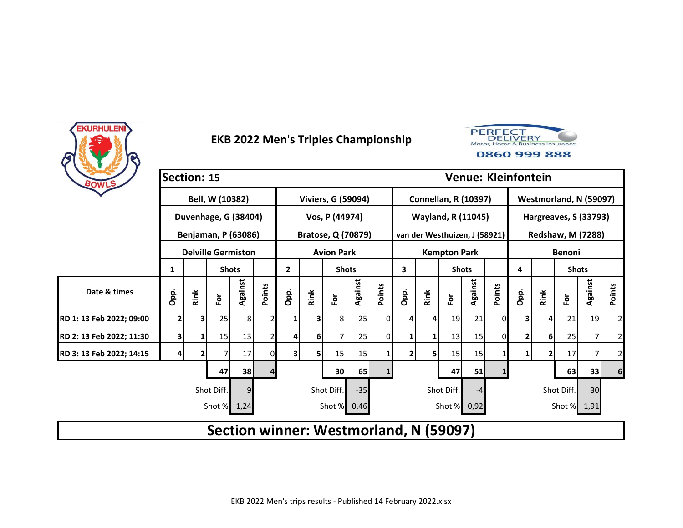



| BOWLS                    | Section: 15 |      |                            |         |        |                              |      |                           |         |          |                                        |                             |                               |                        |        | <b>Venue: Kleinfontein</b> |               |                          |         |                |  |
|--------------------------|-------------|------|----------------------------|---------|--------|------------------------------|------|---------------------------|---------|----------|----------------------------------------|-----------------------------|-------------------------------|------------------------|--------|----------------------------|---------------|--------------------------|---------|----------------|--|
|                          |             |      | Bell, W (10382)            |         |        |                              |      | <b>Viviers, G (59094)</b> |         |          |                                        | <b>Connellan, R (10397)</b> |                               | Westmorland, N (59097) |        |                            |               |                          |         |                |  |
|                          |             |      | Duvenhage, G (38404)       |         |        |                              |      | Vos, P (44974)            |         |          |                                        |                             | <b>Wayland, R (11045)</b>     |                        |        | Hargreaves, S (33793)      |               |                          |         |                |  |
|                          |             |      | <b>Benjaman, P (63086)</b> |         |        |                              |      | <b>Bratose, Q (70879)</b> |         |          |                                        |                             | van der Westhuizen, J (58921) |                        |        |                            |               | <b>Redshaw, M (7288)</b> |         |                |  |
|                          |             |      | <b>Delville Germiston</b>  |         |        |                              |      | <b>Avion Park</b>         |         |          |                                        |                             | <b>Kempton Park</b>           |                        |        |                            | <b>Benoni</b> |                          |         |                |  |
|                          | 1           |      | <b>Shots</b>               |         |        | $\mathbf{2}$<br><b>Shots</b> |      |                           |         |          | 3                                      |                             | <b>Shots</b>                  |                        |        | 4                          |               | <b>Shots</b>             |         |                |  |
| Date & times             | Opp.        | Rink | For                        | Against | Points | Opp.                         | Rink | For                       | Against | Points   | Opp.                                   | Rink                        | $\mathbf{\tilde{e}}$          | Against                | Points | Opp.                       | Rink          | $\bf \bar{e}$            | Against | Points         |  |
| RD 1: 13 Feb 2022; 09:00 | 2           | 3.   | 25                         | 8       | 2      |                              |      | 8                         | 25      |          |                                        | 4                           | 19                            | 21                     | 0      |                            | 4             | 21                       | 19      | $\overline{2}$ |  |
| RD 2: 13 Feb 2022; 11:30 | 3           | 1    | 15                         | 13      |        | 4                            | 61   |                           | 25      | $\Omega$ |                                        | $\mathbf{1}$                | 13                            | 15                     | 0      |                            | 61            | 25                       |         | $\overline{2}$ |  |
| RD 3: 13 Feb 2022; 14:15 |             |      |                            | 17      | 0      | 3                            | 5    | 15                        | 15      |          | $\overline{2}$                         | 5                           | 15                            | 15                     |        |                            | 2             | 17                       |         | $\overline{2}$ |  |
|                          |             |      | 47                         | 38      | 4      |                              |      | 30                        | 65      |          |                                        |                             | 47                            | 51                     |        |                            |               | 63                       | 33      | $6 \mid$       |  |
|                          |             |      | Shot Diff.                 |         |        | Shot Diff.<br>$-35$          |      |                           |         |          | Shot Diff.                             |                             |                               |                        |        |                            |               | Shot Diff.               | 30      |                |  |
|                          |             |      | Shot % 1,24                |         |        |                              |      | Shot %                    | 0,46    |          |                                        |                             | Shot % 0,92                   |                        |        |                            |               | Shot % 1,91              |         |                |  |
|                          |             |      |                            |         |        |                              |      |                           |         |          | Section winner: Westmorland, N (59097) |                             |                               |                        |        |                            |               |                          |         |                |  |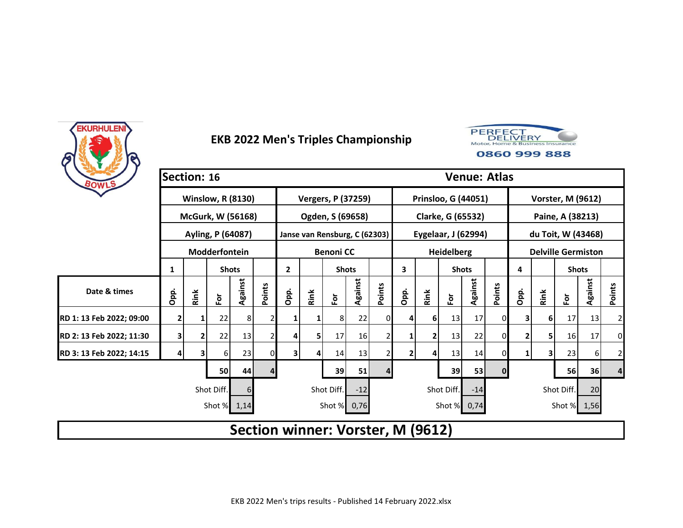



| BOWLS                                           | Section: 16    |            |                          |              |                     | <b>Venue: Atlas</b>          |      |                                   |                 |                     |                   |      |                            |             |                |                           |            |               |                |                         |  |
|-------------------------------------------------|----------------|------------|--------------------------|--------------|---------------------|------------------------------|------|-----------------------------------|-----------------|---------------------|-------------------|------|----------------------------|-------------|----------------|---------------------------|------------|---------------|----------------|-------------------------|--|
|                                                 |                |            | <b>Winslow, R (8130)</b> |              |                     |                              |      | <b>Vergers, P (37259)</b>         |                 |                     |                   |      | <b>Prinsloo, G (44051)</b> |             |                | <b>Vorster, M (9612)</b>  |            |               |                |                         |  |
|                                                 |                |            | <b>McGurk, W (56168)</b> |              |                     |                              |      | Ogden, S (69658)                  |                 |                     |                   |      | Clarke, G (65532)          |             |                | Paine, A (38213)          |            |               |                |                         |  |
|                                                 |                |            | Ayling, P (64087)        |              |                     |                              |      | Janse van Rensburg, C (62303)     |                 |                     |                   |      | Eygelaar, J (62994)        |             |                | du Toit, W (43468)        |            |               |                |                         |  |
|                                                 |                |            | Modderfontein            |              |                     |                              |      | <b>Benoni CC</b>                  |                 |                     |                   |      | <b>Heidelberg</b>          |             |                | <b>Delville Germiston</b> |            |               |                |                         |  |
|                                                 | 1              |            |                          | <b>Shots</b> |                     | $\mathbf{2}$<br><b>Shots</b> |      |                                   |                 |                     | 3<br><b>Shots</b> |      |                            |             |                | 4                         |            | <b>Shots</b>  |                |                         |  |
| Date & times                                    | Opp.           | Rink       | Ĕ                        | Against      | Points              | Opp.                         | Rink | $\bf \bar{e}$                     | Against         | Points              | Opp.              | Rink | $\tilde{\mathbf{e}}$       | Against     | Points         | Opp.                      | Rink       | $\bf \bar{e}$ | <b>Against</b> | Points                  |  |
| RD 1: 13 Feb 2022; 09:00                        | $\overline{2}$ |            | 22                       | 8            |                     | 1                            |      | 81                                | 22              | ΩI                  | 4                 | 6    | 13                         | 17          | 0              |                           | 6          | 17            | 13             | $\overline{\mathbf{c}}$ |  |
| RD 2: 13 Feb 2022; 11:30                        | 3              |            | 22                       | 13           |                     | 4                            | 5    | 17                                | 16 <sup>1</sup> |                     |                   | 2    | 13                         | 22          | $\Omega$       |                           |            | 16            | 17             | 0                       |  |
| RD 3: 13 Feb 2022; 14:15                        | 4              | 3          | 6                        | 23           | 0                   | 3                            | 41   | 14                                | 13              |                     | $\overline{2}$    | 4    | 13                         | 14          | $\overline{0}$ | 1                         | 3          | 23            | 6 <sup>1</sup> | $\overline{\mathbf{c}}$ |  |
|                                                 |                |            | 50                       | 44           | 4                   |                              |      | 39                                | 51              |                     |                   |      | 39                         | 53          | $\mathbf{0}$   |                           |            | 56            | 36             | 4                       |  |
|                                                 |                | Shot Diff. | 6                        |              | Shot Diff.<br>$-12$ |                              |      |                                   |                 | Shot Diff.<br>$-14$ |                   |      |                            |             |                |                           | Shot Diff. | 20            |                |                         |  |
| 0,76<br>Shot % 0,74<br>Shot %<br>1,14<br>Shot % |                |            |                          |              |                     |                              |      |                                   |                 |                     |                   |      |                            | Shot % 1,56 |                |                           |            |               |                |                         |  |
|                                                 |                |            |                          |              |                     |                              |      | Section winner: Vorster, M (9612) |                 |                     |                   |      |                            |             |                |                           |            |               |                |                         |  |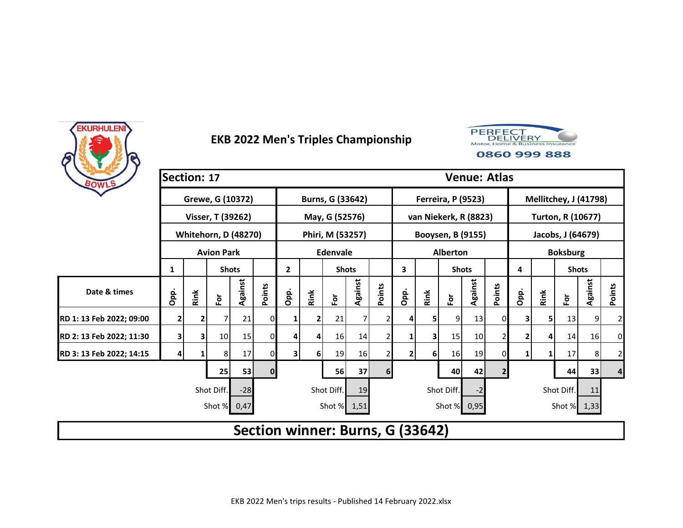



| BOWLS                    | Section: 17         |      |                             |         |              |                                | <b>Venue: Atlas</b> |                        |         |                |                                  |      |                           |         |                |                          |                       |                   |         |                |  |  |
|--------------------------|---------------------|------|-----------------------------|---------|--------------|--------------------------------|---------------------|------------------------|---------|----------------|----------------------------------|------|---------------------------|---------|----------------|--------------------------|-----------------------|-------------------|---------|----------------|--|--|
|                          |                     |      | Grewe, G (10372)            |         |              |                                |                     | Burns, G (33642)       |         |                |                                  |      | <b>Ferreira, P (9523)</b> |         |                |                          | Mellitchey, J (41798) |                   |         |                |  |  |
|                          |                     |      | Visser, T (39262)           |         |              |                                |                     | May, G (52576)         |         |                |                                  |      | van Niekerk, R (8823)     |         |                | <b>Turton, R (10677)</b> |                       |                   |         |                |  |  |
|                          |                     |      | <b>Whitehorn, D (48270)</b> |         |              |                                |                     | Phiri, M (53257)       |         |                |                                  |      | Booysen, B (9155)         |         |                |                          |                       | Jacobs, J (64679) |         |                |  |  |
|                          |                     |      | <b>Avion Park</b>           |         |              |                                |                     | <b>Edenvale</b>        |         |                | <b>Alberton</b>                  |      |                           |         |                | <b>Boksburg</b>          |                       |                   |         |                |  |  |
|                          | 1                   |      | <b>Shots</b>                |         |              | $\overline{2}$<br><b>Shots</b> |                     |                        |         |                | 3<br><b>Shots</b>                |      |                           |         | 4              |                          | <b>Shots</b>          |                   |         |                |  |  |
| Date & times             | Opp.                | Rink | $\mathbf{\tilde{e}}$        | Against | Points       | Opp.                           | Rink                | $\overline{\tilde{e}}$ | Against | Points         | Opp.                             | Rink | $\overline{\tilde{c}}$    | Against | Points         | Opp.                     | Rink                  | $\bf \bar{e}$     | Against | Points         |  |  |
| RD 1: 13 Feb 2022; 09:00 | 2                   |      |                             | 21      | 0            | 1                              |                     | 21                     | 7       | 2 <sub>1</sub> | 4                                | 5    | 9                         | 13      | 0              | 3                        | 51                    | 13                | 9       | $\overline{2}$ |  |  |
| RD 2: 13 Feb 2022; 11:30 | 3                   | 3    | 10                          | 15      | 0            | 4                              | 4                   | 16                     | 14      | $\overline{2}$ | 1                                | 3    | 15                        | 10      | $\overline{2}$ | 2                        | 4                     | 14                | 16      | 0              |  |  |
| RD 3: 13 Feb 2022; 14:15 | 4                   |      | 8                           | 17      | 01           | $\overline{\mathbf{3}}$        | 6 <sup>1</sup>      | 19                     | 16      | $\overline{2}$ | 2                                | 6    | 16                        | 19      |                |                          | 1                     | 17                | 8       | $\overline{2}$ |  |  |
|                          |                     |      | 25                          | 53      | $\mathbf{0}$ |                                |                     | 56                     | 37      | 6 <sup>1</sup> |                                  |      | 40                        | 42      | $\overline{2}$ |                          |                       | 44                | 33      | 4              |  |  |
|                          | Shot Diff.<br>$-28$ |      |                             |         |              |                                | Shot Diff.<br>19    |                        |         |                | Shot Diff.<br>-2                 |      |                           |         |                |                          |                       | Shot Diff.        | 11      |                |  |  |
|                          |                     |      | Shot %                      | 0,47    |              |                                |                     | Shot % 1,51            |         |                |                                  |      | Shot % 0,95               |         |                |                          |                       | Shot % 1,33       |         |                |  |  |
|                          |                     |      |                             |         |              |                                |                     |                        |         |                | Section winner: Burns, G (33642) |      |                           |         |                |                          |                       |                   |         |                |  |  |